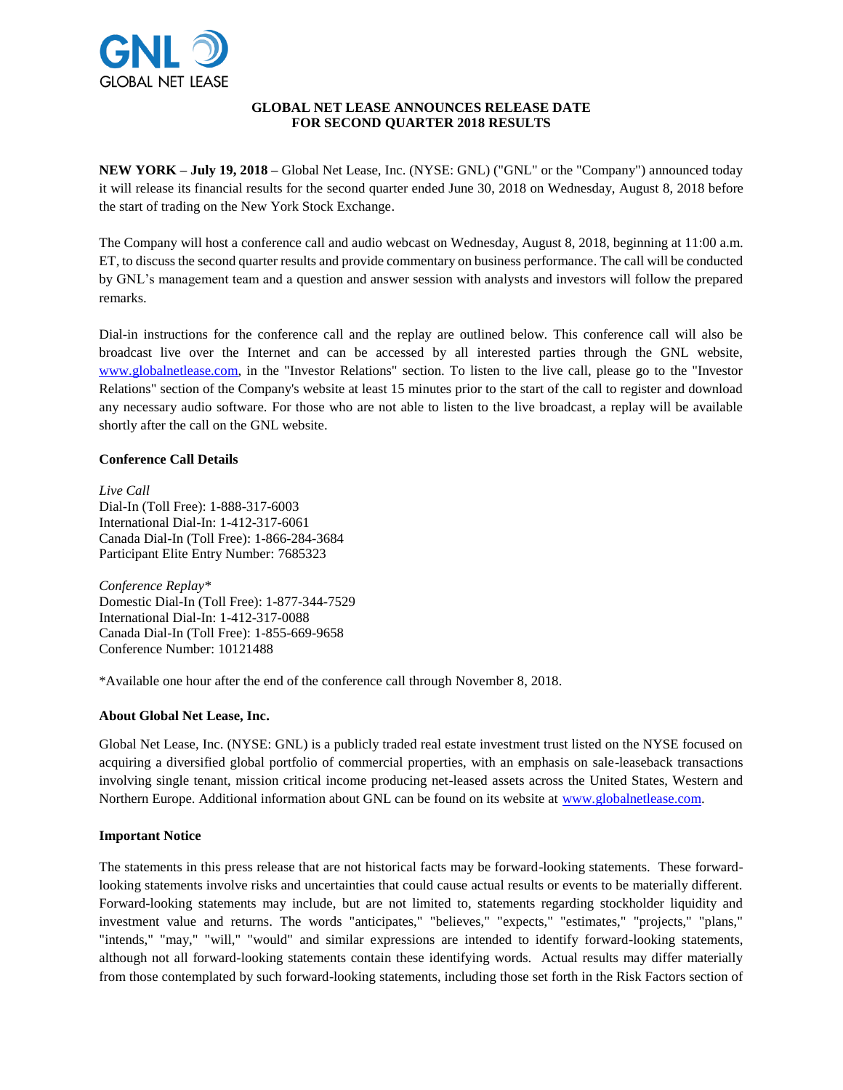

## **GLOBAL NET LEASE ANNOUNCES RELEASE DATE FOR SECOND QUARTER 2018 RESULTS**

**NEW YORK – July 19, 2018 –** Global Net Lease, Inc. (NYSE: GNL) ("GNL" or the "Company") announced today it will release its financial results for the second quarter ended June 30, 2018 on Wednesday, August 8, 2018 before the start of trading on the New York Stock Exchange.

The Company will host a conference call and audio webcast on Wednesday, August 8, 2018, beginning at 11:00 a.m. ET, to discuss the second quarter results and provide commentary on business performance. The call will be conducted by GNL's management team and a question and answer session with analysts and investors will follow the prepared remarks.

Dial-in instructions for the conference call and the replay are outlined below. This conference call will also be broadcast live over the Internet and can be accessed by all interested parties through the GNL website, [www.globalnetlease.com,](http://www.globalnetlease.com/) in the "Investor Relations" section. To listen to the live call, please go to the "Investor Relations" section of the Company's website at least 15 minutes prior to the start of the call to register and download any necessary audio software. For those who are not able to listen to the live broadcast, a replay will be available shortly after the call on the GNL website.

## **Conference Call Details**

*Live Call* Dial-In (Toll Free): 1-888-317-6003 International Dial-In: 1-412-317-6061 Canada Dial-In (Toll Free): 1-866-284-3684 Participant Elite Entry Number: 7685323

*Conference Replay\** Domestic Dial-In (Toll Free): 1-877-344-7529 International Dial-In: 1-412-317-0088 Canada Dial-In (Toll Free): 1-855-669-9658 Conference Number: 10121488

\*Available one hour after the end of the conference call through November 8, 2018.

# **About Global Net Lease, Inc.**

Global Net Lease, Inc. (NYSE: GNL) is a publicly traded real estate investment trust listed on the NYSE focused on acquiring a diversified global portfolio of commercial properties, with an emphasis on sale-leaseback transactions involving single tenant, mission critical income producing net-leased assets across the United States, Western and Northern Europe. Additional information about GNL can be found on its website at [www.globalnetlease.com.](http://www.globalnetlease.com/)

# **Important Notice**

The statements in this press release that are not historical facts may be forward-looking statements. These forwardlooking statements involve risks and uncertainties that could cause actual results or events to be materially different. Forward-looking statements may include, but are not limited to, statements regarding stockholder liquidity and investment value and returns. The words "anticipates," "believes," "expects," "estimates," "projects," "plans," "intends," "may," "will," "would" and similar expressions are intended to identify forward-looking statements, although not all forward-looking statements contain these identifying words. Actual results may differ materially from those contemplated by such forward-looking statements, including those set forth in the Risk Factors section of